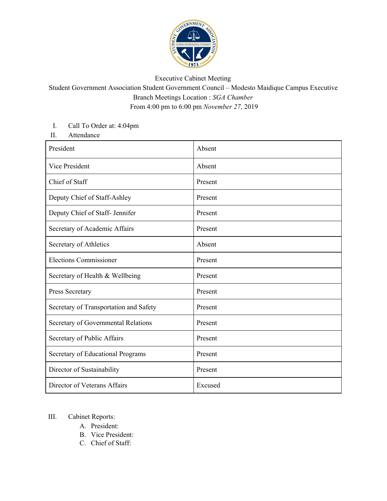

## Executive Cabinet Meeting

## Student Government Association Student Government Council – Modesto Maidique Campus Executive Branch Meetings Location : *SGA Chamber* From 4:00 pm to 6:00 pm *November 27*, 2019

## I. Call To Order at: 4:04pm

II. Attendance

| President                              | Absent  |
|----------------------------------------|---------|
| Vice President                         | Absent  |
| Chief of Staff                         | Present |
| Deputy Chief of Staff-Ashley           | Present |
| Deputy Chief of Staff- Jennifer        | Present |
| Secretary of Academic Affairs          | Present |
| Secretary of Athletics                 | Absent  |
| <b>Elections Commissioner</b>          | Present |
| Secretary of Health & Wellbeing        | Present |
| Press Secretary                        | Present |
| Secretary of Transportation and Safety | Present |
| Secretary of Governmental Relations    | Present |
| Secretary of Public Affairs            | Present |
| Secretary of Educational Programs      | Present |
| Director of Sustainability             | Present |
| Director of Veterans Affairs           | Excused |

## III. Cabinet Reports:

- A. President:
- B. Vice President:
- C. Chief of Staff: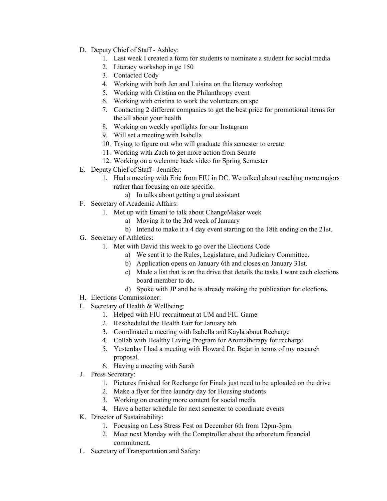- D. Deputy Chief of Staff Ashley:
	- 1. Last week I created a form for students to nominate a student for social media
	- 2. Literacy workshop in gc 150
	- 3. Contacted Cody
	- 4. Working with both Jen and Luisina on the literacy workshop
	- 5. Working with Cristina on the Philanthropy event
	- 6. Working with cristina to work the volunteers on spc
	- 7. Contacting 2 different companies to get the best price for promotional items for the all about your health
	- 8. Working on weekly spotlights for our Instagram
	- 9. Will set a meeting with Isabella
	- 10. Trying to figure out who will graduate this semester to create
	- 11. Working with Zach to get more action from Senate
	- 12. Working on a welcome back video for Spring Semester
- E. Deputy Chief of Staff Jennifer:
	- 1. Had a meeting with Eric from FIU in DC. We talked about reaching more majors rather than focusing on one specific.
		- a) In talks about getting a grad assistant
- F. Secretary of Academic Affairs:
	- 1. Met up with Emani to talk about ChangeMaker week
		- a) Moving it to the 3rd week of January
		- b) Intend to make it a 4 day event starting on the 18th ending on the 21st.
- G. Secretary of Athletics:
	- 1. Met with David this week to go over the Elections Code
		- a) We sent it to the Rules, Legislature, and Judiciary Committee.
		- b) Application opens on January 6th and closes on January 31st.
		- c) Made a list that is on the drive that details the tasks I want each elections board member to do.
		- d) Spoke with JP and he is already making the publication for elections.
- H. Elections Commissioner:
- I. Secretary of Health & Wellbeing:
	- 1. Helped with FIU recruitment at UM and FIU Game
	- 2. Rescheduled the Health Fair for January 6th
	- 3. Coordinated a meeting with Isabella and Kayla about Recharge
	- 4. Collab with Healthy Living Program for Aromatherapy for recharge
	- 5. Yesterday I had a meeting with Howard Dr. Bejar in terms of my research proposal.
	- 6. Having a meeting with Sarah
- J. Press Secretary:
	- 1. Pictures finished for Recharge for Finals just need to be uploaded on the drive
	- 2. Make a flyer for free laundry day for Housing students
	- 3. Working on creating more content for social media
	- 4. Have a better schedule for next semester to coordinate events
- K. Director of Sustainability:
	- 1. Focusing on Less Stress Fest on December 6th from 12pm-3pm.
	- 2. Meet next Monday with the Comptroller about the arboretum financial commitment.
- L. Secretary of Transportation and Safety: